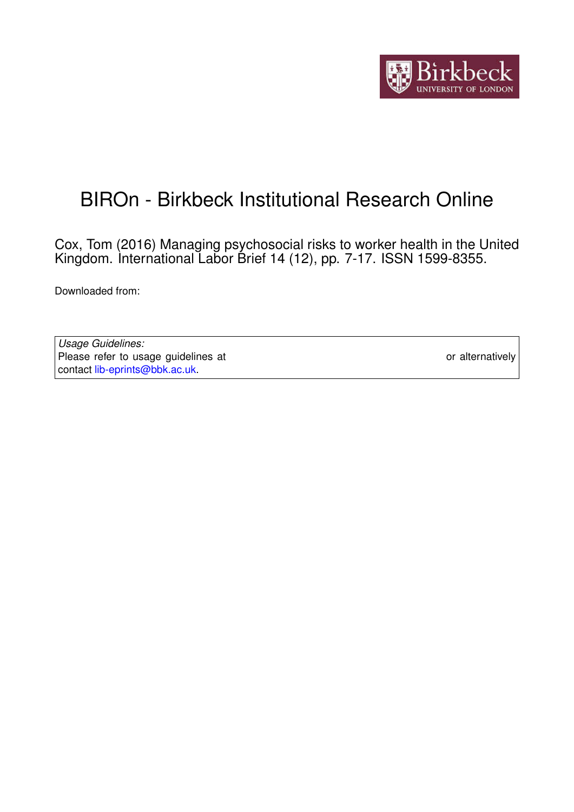

# BIROn - Birkbeck Institutional Research Online

Cox, Tom (2016) Managing psychosocial risks to worker health in the United Kingdom. International Labor Brief 14 (12), pp. 7-17. ISSN 1599-8355.

Downloaded from: <https://eprints.bbk.ac.uk/id/eprint/24752/>

*Usage Guidelines:* Please refer to usage guidelines at <https://eprints.bbk.ac.uk/policies.html> or alternatively contact [lib-eprints@bbk.ac.uk.](mailto:lib-eprints@bbk.ac.uk)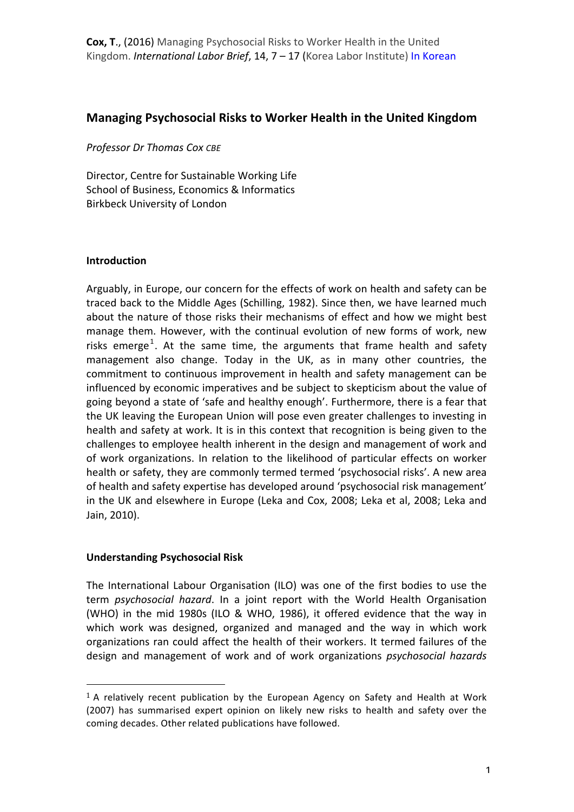## **Managing Psychosocial Risks to Worker Health in the United Kingdom**

**Professor Dr Thomas Cox CBE** 

Director, Centre for Sustainable Working Life School of Business, Economics & Informatics Birkbeck University of London

#### **Introduction**

Arguably, in Europe, our concern for the effects of work on health and safety can be traced back to the Middle Ages (Schilling, 1982). Since then, we have learned much about the nature of those risks their mechanisms of effect and how we might best manage them. However, with the continual evolution of new forms of work, new risks emerge<sup>1</sup>. At the same time, the arguments that frame health and safety management also change. Today in the UK, as in many other countries, the commitment to continuous improvement in health and safety management can be influenced by economic imperatives and be subject to skepticism about the value of going beyond a state of 'safe and healthy enough'. Furthermore, there is a fear that the UK leaving the European Union will pose even greater challenges to investing in health and safety at work. It is in this context that recognition is being given to the challenges to employee health inherent in the design and management of work and of work organizations. In relation to the likelihood of particular effects on worker health or safety, they are commonly termed termed 'psychosocial risks'. A new area of health and safety expertise has developed around 'psychosocial risk management' in the UK and elsewhere in Europe (Leka and Cox, 2008; Leka et al, 2008; Leka and Jain, 2010).

## **Understanding Psychosocial Risk**

 

The International Labour Organisation (ILO) was one of the first bodies to use the term *psychosocial hazard*. In a joint report with the World Health Organisation (WHO) in the mid 1980s (ILO & WHO, 1986), it offered evidence that the way in which work was designed, organized and managed and the way in which work organizations ran could affect the health of their workers. It termed failures of the design and management of work and of work organizations *psychosocial hazards* 

 $1$  A relatively recent publication by the European Agency on Safety and Health at Work (2007) has summarised expert opinion on likely new risks to health and safety over the coming decades. Other related publications have followed.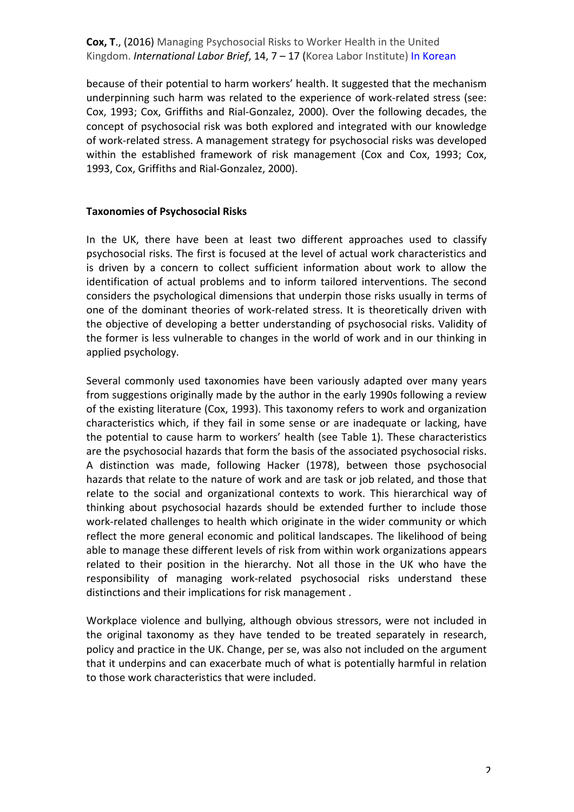because of their potential to harm workers' health. It suggested that the mechanism underpinning such harm was related to the experience of work-related stress (see: Cox, 1993; Cox, Griffiths and Rial-Gonzalez, 2000). Over the following decades, the concept of psychosocial risk was both explored and integrated with our knowledge of work-related stress. A management strategy for psychosocial risks was developed within the established framework of risk management (Cox and Cox, 1993; Cox, 1993, Cox, Griffiths and Rial-Gonzalez, 2000).

#### **Taxonomies of Psychosocial Risks**

In the UK, there have been at least two different approaches used to classify psychosocial risks. The first is focused at the level of actual work characteristics and is driven by a concern to collect sufficient information about work to allow the identification of actual problems and to inform tailored interventions. The second considers the psychological dimensions that underpin those risks usually in terms of one of the dominant theories of work-related stress. It is theoretically driven with the objective of developing a better understanding of psychosocial risks. Validity of the former is less vulnerable to changes in the world of work and in our thinking in applied psychology.

Several commonly used taxonomies have been variously adapted over many years from suggestions originally made by the author in the early 1990s following a review of the existing literature (Cox, 1993). This taxonomy refers to work and organization characteristics which, if they fail in some sense or are inadequate or lacking, have the potential to cause harm to workers' health (see Table 1). These characteristics are the psychosocial hazards that form the basis of the associated psychosocial risks. A distinction was made, following Hacker (1978), between those psychosocial hazards that relate to the nature of work and are task or job related, and those that relate to the social and organizational contexts to work. This hierarchical way of thinking about psychosocial hazards should be extended further to include those work-related challenges to health which originate in the wider community or which reflect the more general economic and political landscapes. The likelihood of being able to manage these different levels of risk from within work organizations appears related to their position in the hierarchy. Not all those in the UK who have the responsibility of managing work-related psychosocial risks understand these distinctions and their implications for risk management.

Workplace violence and bullying, although obvious stressors, were not included in the original taxonomy as they have tended to be treated separately in research, policy and practice in the UK. Change, per se, was also not included on the argument that it underpins and can exacerbate much of what is potentially harmful in relation to those work characteristics that were included.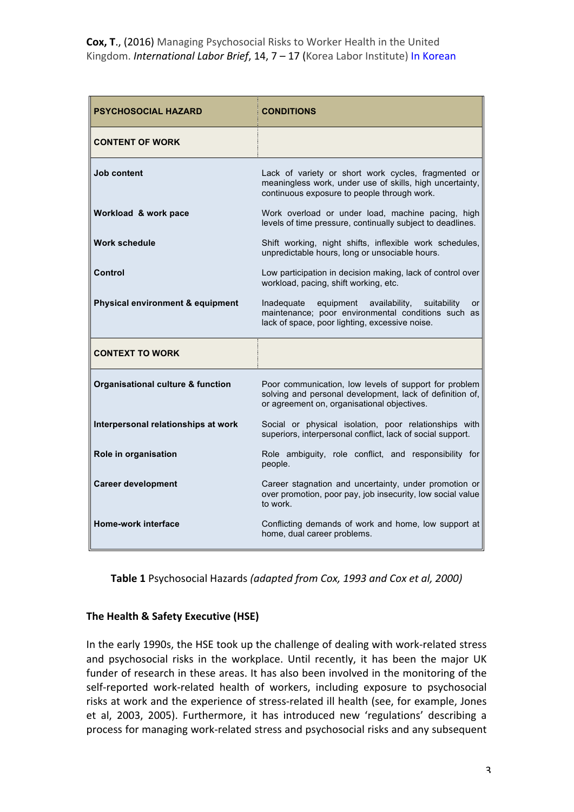| <b>PSYCHOSOCIAL HAZARD</b>                   | <b>CONDITIONS</b>                                                                                                                                                     |
|----------------------------------------------|-----------------------------------------------------------------------------------------------------------------------------------------------------------------------|
| <b>CONTENT OF WORK</b>                       |                                                                                                                                                                       |
| <b>Job content</b>                           | Lack of variety or short work cycles, fragmented or<br>meaningless work, under use of skills, high uncertainty,<br>continuous exposure to people through work.        |
| Workload & work pace                         | Work overload or under load, machine pacing, high<br>levels of time pressure, continually subject to deadlines.                                                       |
| <b>Work schedule</b>                         | Shift working, night shifts, inflexible work schedules,<br>unpredictable hours, long or unsociable hours.                                                             |
| Control                                      | Low participation in decision making, lack of control over<br>workload, pacing, shift working, etc.                                                                   |
| Physical environment & equipment             | Inadequate<br>equipment<br>availability,<br>suitability<br>or<br>maintenance; poor environmental conditions such as<br>lack of space, poor lighting, excessive noise. |
| <b>CONTEXT TO WORK</b>                       |                                                                                                                                                                       |
| <b>Organisational culture &amp; function</b> | Poor communication, low levels of support for problem<br>solving and personal development, lack of definition of,<br>or agreement on, organisational objectives.      |
| Interpersonal relationships at work          | Social or physical isolation, poor relationships with<br>superiors, interpersonal conflict, lack of social support.                                                   |
| Role in organisation                         | Role ambiguity, role conflict, and responsibility for<br>people.                                                                                                      |
| <b>Career development</b>                    | Career stagnation and uncertainty, under promotion or<br>over promotion, poor pay, job insecurity, low social value<br>to work.                                       |
| Home-work interface                          | Conflicting demands of work and home, low support at<br>home, dual career problems.                                                                                   |

**Table 1** Psychosocial Hazards (adapted from Cox, 1993 and Cox et al, 2000)

## **The Health & Safety Executive (HSE)**

In the early 1990s, the HSE took up the challenge of dealing with work-related stress and psychosocial risks in the workplace. Until recently, it has been the major UK funder of research in these areas. It has also been involved in the monitoring of the self-reported work-related health of workers, including exposure to psychosocial risks at work and the experience of stress-related ill health (see, for example, Jones et al, 2003, 2005). Furthermore, it has introduced new 'regulations' describing a process for managing work-related stress and psychosocial risks and any subsequent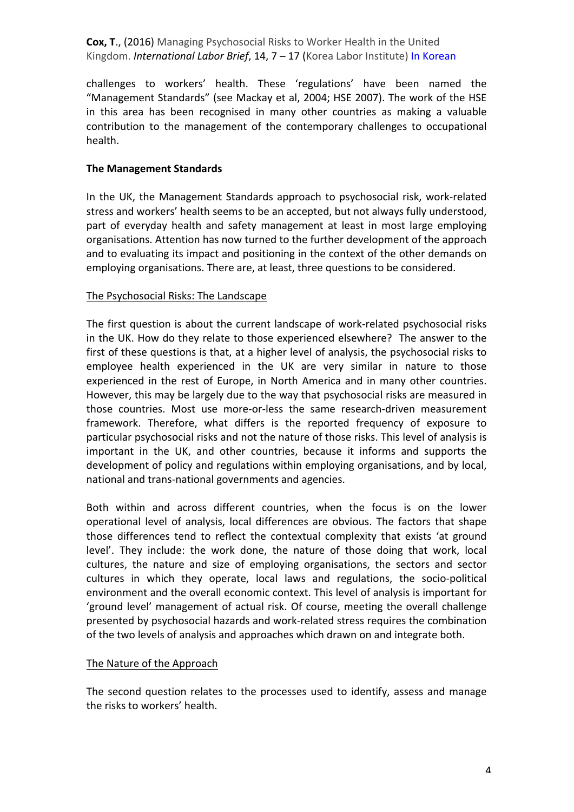challenges to workers' health. These 'regulations' have been named the "Management Standards" (see Mackay et al, 2004; HSE 2007). The work of the HSE in this area has been recognised in many other countries as making a valuable contribution to the management of the contemporary challenges to occupational health.

#### **The Management Standards**

In the UK, the Management Standards approach to psychosocial risk, work-related stress and workers' health seems to be an accepted, but not always fully understood, part of everyday health and safety management at least in most large employing organisations. Attention has now turned to the further development of the approach and to evaluating its impact and positioning in the context of the other demands on employing organisations. There are, at least, three questions to be considered.

#### The Psychosocial Risks: The Landscape

The first question is about the current landscape of work-related psychosocial risks in the UK. How do they relate to those experienced elsewhere? The answer to the first of these questions is that, at a higher level of analysis, the psychosocial risks to employee health experienced in the UK are very similar in nature to those experienced in the rest of Europe, in North America and in many other countries. However, this may be largely due to the way that psychosocial risks are measured in those countries. Most use more-or-less the same research-driven measurement framework. Therefore, what differs is the reported frequency of exposure to particular psychosocial risks and not the nature of those risks. This level of analysis is important in the UK, and other countries, because it informs and supports the development of policy and regulations within employing organisations, and by local, national and trans-national governments and agencies.

Both within and across different countries, when the focus is on the lower operational level of analysis, local differences are obvious. The factors that shape those differences tend to reflect the contextual complexity that exists 'at ground level'. They include: the work done, the nature of those doing that work, local cultures, the nature and size of employing organisations, the sectors and sector cultures in which they operate, local laws and regulations, the socio-political environment and the overall economic context. This level of analysis is important for 'ground level' management of actual risk. Of course, meeting the overall challenge presented by psychosocial hazards and work-related stress requires the combination of the two levels of analysis and approaches which drawn on and integrate both.

#### The Nature of the Approach

The second question relates to the processes used to identify, assess and manage the risks to workers' health.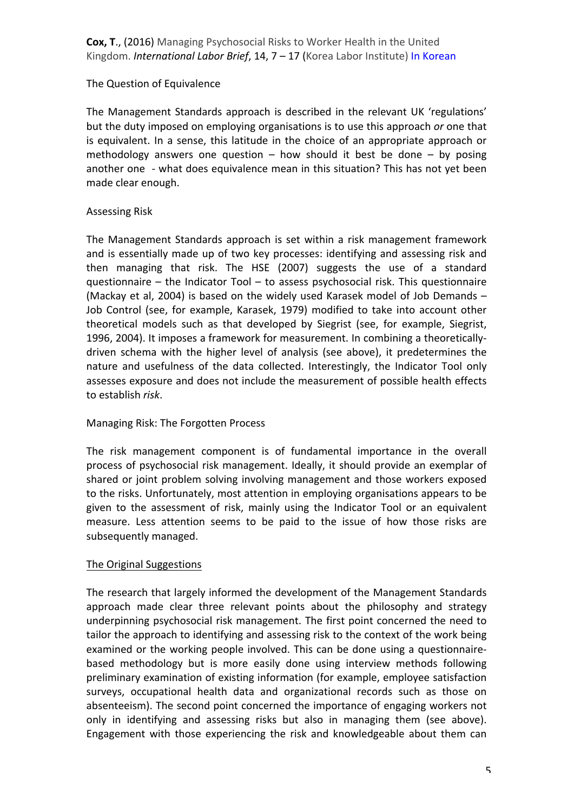## The Question of Equivalence

The Management Standards approach is described in the relevant UK 'regulations' but the duty imposed on employing organisations is to use this approach or one that is equivalent. In a sense, this latitude in the choice of an appropriate approach or methodology answers one question  $-$  how should it best be done  $-$  by posing another one - what does equivalence mean in this situation? This has not yet been made clear enough.

## **Assessing Risk**

The Management Standards approach is set within a risk management framework and is essentially made up of two key processes: identifying and assessing risk and then managing that risk. The HSE (2007) suggests the use of a standard questionnaire  $-$  the Indicator Tool  $-$  to assess psychosocial risk. This questionnaire (Mackay et al, 2004) is based on the widely used Karasek model of Job Demands  $-$ Job Control (see, for example, Karasek, 1979) modified to take into account other theoretical models such as that developed by Siegrist (see, for example, Siegrist, 1996, 2004). It imposes a framework for measurement. In combining a theoreticallydriven schema with the higher level of analysis (see above), it predetermines the nature and usefulness of the data collected. Interestingly, the Indicator Tool only assesses exposure and does not include the measurement of possible health effects to establish *risk*.

## Managing Risk: The Forgotten Process

The risk management component is of fundamental importance in the overall process of psychosocial risk management. Ideally, it should provide an exemplar of shared or joint problem solving involving management and those workers exposed to the risks. Unfortunately, most attention in employing organisations appears to be given to the assessment of risk, mainly using the Indicator Tool or an equivalent measure. Less attention seems to be paid to the issue of how those risks are subsequently managed.

## The Original Suggestions

The research that largely informed the development of the Management Standards approach made clear three relevant points about the philosophy and strategy underpinning psychosocial risk management. The first point concerned the need to tailor the approach to identifying and assessing risk to the context of the work being examined or the working people involved. This can be done using a questionnairebased methodology but is more easily done using interview methods following preliminary examination of existing information (for example, employee satisfaction surveys, occupational health data and organizational records such as those on absenteeism). The second point concerned the importance of engaging workers not only in identifying and assessing risks but also in managing them (see above). Engagement with those experiencing the risk and knowledgeable about them can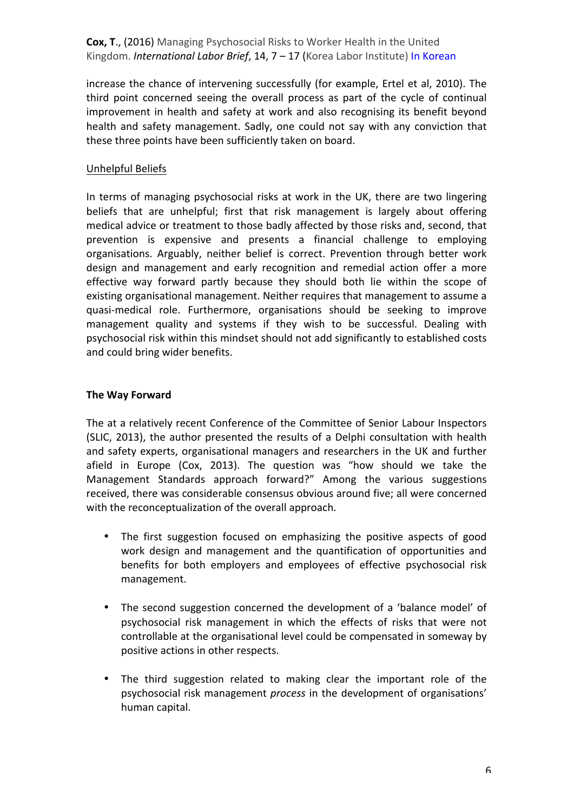increase the chance of intervening successfully (for example, Ertel et al, 2010). The third point concerned seeing the overall process as part of the cycle of continual improvement in health and safety at work and also recognising its benefit beyond health and safety management. Sadly, one could not say with any conviction that these three points have been sufficiently taken on board.

## Unhelpful Beliefs

In terms of managing psychosocial risks at work in the UK, there are two lingering beliefs that are unhelpful; first that risk management is largely about offering medical advice or treatment to those badly affected by those risks and, second, that prevention is expensive and presents a financial challenge to employing organisations. Arguably, neither belief is correct. Prevention through better work design and management and early recognition and remedial action offer a more effective way forward partly because they should both lie within the scope of existing organisational management. Neither requires that management to assume a quasi-medical role. Furthermore, organisations should be seeking to improve management quality and systems if they wish to be successful. Dealing with psychosocial risk within this mindset should not add significantly to established costs and could bring wider benefits.

## **The Way Forward**

The at a relatively recent Conference of the Committee of Senior Labour Inspectors (SLIC, 2013), the author presented the results of a Delphi consultation with health and safety experts, organisational managers and researchers in the UK and further afield in Europe (Cox, 2013). The question was "how should we take the Management Standards approach forward?" Among the various suggestions received, there was considerable consensus obvious around five; all were concerned with the reconceptualization of the overall approach.

- The first suggestion focused on emphasizing the positive aspects of good work design and management and the quantification of opportunities and benefits for both employers and employees of effective psychosocial risk management.
- The second suggestion concerned the development of a 'balance model' of psychosocial risk management in which the effects of risks that were not controllable at the organisational level could be compensated in someway by positive actions in other respects.
- The third suggestion related to making clear the important role of the psychosocial risk management *process* in the development of organisations' human capital.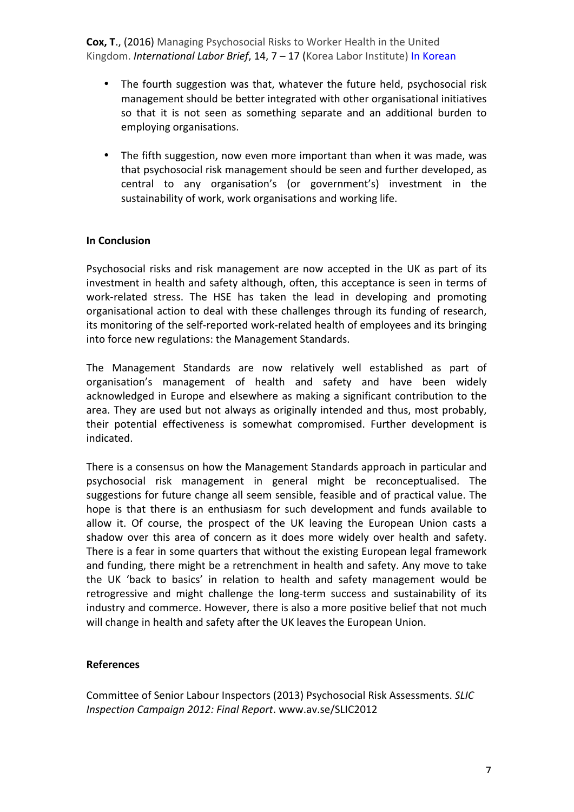- The fourth suggestion was that, whatever the future held, psychosocial risk management should be better integrated with other organisational initiatives so that it is not seen as something separate and an additional burden to employing organisations.
- The fifth suggestion, now even more important than when it was made, was that psychosocial risk management should be seen and further developed, as central to any organisation's (or government's) investment in the sustainability of work, work organisations and working life.

#### **In Conclusion**

Psychosocial risks and risk management are now accepted in the UK as part of its investment in health and safety although, often, this acceptance is seen in terms of work-related stress. The HSE has taken the lead in developing and promoting organisational action to deal with these challenges through its funding of research, its monitoring of the self-reported work-related health of employees and its bringing into force new regulations: the Management Standards.

The Management Standards are now relatively well established as part of organisation's management of health and safety and have been widely acknowledged in Europe and elsewhere as making a significant contribution to the area. They are used but not always as originally intended and thus, most probably, their potential effectiveness is somewhat compromised. Further development is indicated.

There is a consensus on how the Management Standards approach in particular and psychosocial risk management in general might be reconceptualised. The suggestions for future change all seem sensible, feasible and of practical value. The hope is that there is an enthusiasm for such development and funds available to allow it. Of course, the prospect of the UK leaving the European Union casts a shadow over this area of concern as it does more widely over health and safety. There is a fear in some quarters that without the existing European legal framework and funding, there might be a retrenchment in health and safety. Any move to take the UK 'back to basics' in relation to health and safety management would be retrogressive and might challenge the long-term success and sustainability of its industry and commerce. However, there is also a more positive belief that not much will change in health and safety after the UK leaves the European Union.

#### **References**

Committee of Senior Labour Inspectors (2013) Psychosocial Risk Assessments. *SLIC Inspection Campaign 2012: Final Report*. www.av.se/SLIC2012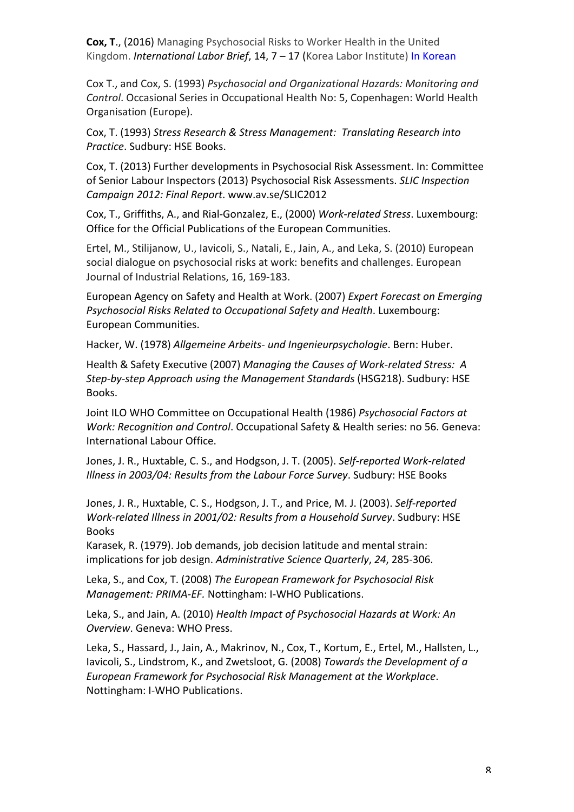Cox T., and Cox, S. (1993) Psychosocial and Organizational Hazards: Monitoring and Control. Occasional Series in Occupational Health No: 5, Copenhagen: World Health Organisation (Europe).

Cox, T. (1993) Stress Research & Stress Management: Translating Research into *Practice*. Sudbury: HSE Books.

Cox, T. (2013) Further developments in Psychosocial Risk Assessment. In: Committee of Senior Labour Inspectors (2013) Psychosocial Risk Assessments. *SLIC Inspection Campaign 2012: Final Report*. www.av.se/SLIC2012

Cox, T., Griffiths, A., and Rial-Gonzalez, E., (2000) Work-related Stress. Luxembourg: Office for the Official Publications of the European Communities.

Ertel, M., Stilijanow, U., Iavicoli, S., Natali, E., Jain, A., and Leka, S. (2010) European social dialogue on psychosocial risks at work: benefits and challenges. European Journal of Industrial Relations, 16, 169-183.

European Agency on Safety and Health at Work. (2007) *Expert Forecast on Emerging Psychosocial Risks Related to Occupational Safety and Health. Luxembourg:* European Communities.

Hacker, W. (1978) *Allgemeine Arbeits- und Ingenieurpsychologie*. Bern: Huber.

Health & Safety Executive (2007) Managing the Causes of Work-related Stress: A *Step-by-step Approach using the Management Standards* (HSG218). Sudbury: HSE Books.

Joint ILO WHO Committee on Occupational Health (1986) Psychosocial Factors at *Work: Recognition and Control.* Occupational Safety & Health series: no 56. Geneva: International Labour Office.

Jones, J. R., Huxtable, C. S., and Hodgson, J. T. (2005). *Self-reported Work-related Illness in 2003/04: Results from the Labour Force Survey*. Sudbury: HSE Books

Jones, J. R., Huxtable, C. S., Hodgson, J. T., and Price, M. J. (2003). *Self-reported Work-related Illness in 2001/02: Results from a Household Survey*. Sudbury: HSE Books

Karasek, R. (1979). Job demands, job decision latitude and mental strain: implications for job design. Administrative Science Quarterly, 24, 285-306.

Leka, S., and Cox, T. (2008) The European Framework for Psychosocial Risk *Management: PRIMA-EF.* Nottingham: I-WHO Publications.

Leka, S., and Jain, A. (2010) *Health Impact of Psychosocial Hazards at Work: An* **Overview.** Geneva: WHO Press.

Leka, S., Hassard, J., Jain, A., Makrinov, N., Cox, T., Kortum, E., Ertel, M., Hallsten, L., Iavicoli, S., Lindstrom, K., and Zwetsloot, G. (2008) *Towards the Development of a European Framework for Psychosocial Risk Management at the Workplace*. Nottingham: I-WHO Publications.